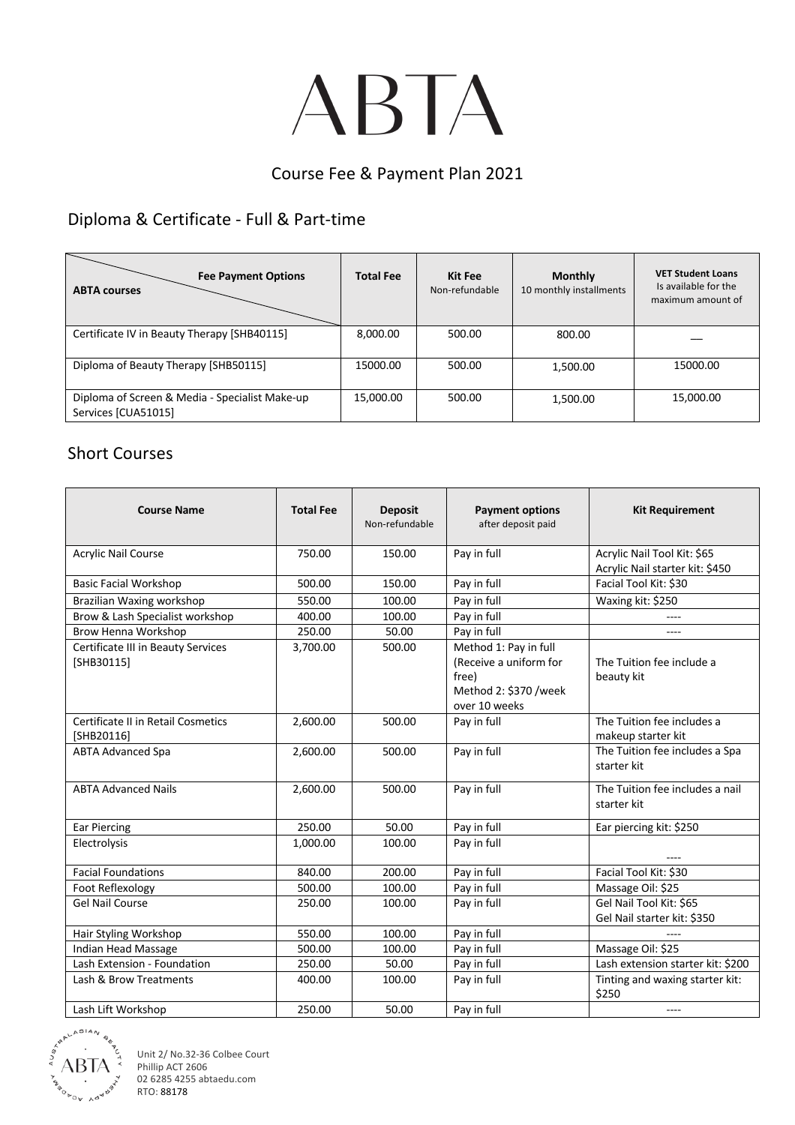# ABTA

#### Course Fee & Payment Plan 2021

## Diploma & Certificate - Full & Part-time

| <b>Fee Payment Options</b><br><b>ABTA courses</b>                     | <b>Total Fee</b> | Kit Fee<br>Non-refundable | <b>Monthly</b><br>10 monthly installments | <b>VET Student Loans</b><br>Is available for the<br>maximum amount of |
|-----------------------------------------------------------------------|------------------|---------------------------|-------------------------------------------|-----------------------------------------------------------------------|
| Certificate IV in Beauty Therapy [SHB40115]                           | 8,000.00         | 500.00                    | 800.00                                    |                                                                       |
| Diploma of Beauty Therapy [SHB50115]                                  | 15000.00         | 500.00                    | 1,500.00                                  | 15000.00                                                              |
| Diploma of Screen & Media - Specialist Make-up<br>Services [CUA51015] | 15,000.00        | 500.00                    | 1,500.00                                  | 15,000.00                                                             |

#### Short Courses

| <b>Course Name</b>                                 | <b>Total Fee</b> | <b>Deposit</b><br>Non-refundable | <b>Payment options</b><br>after deposit paid                                                       | <b>Kit Requirement</b>                                         |
|----------------------------------------------------|------------------|----------------------------------|----------------------------------------------------------------------------------------------------|----------------------------------------------------------------|
| <b>Acrylic Nail Course</b>                         | 750.00           | 150.00                           | Pay in full                                                                                        | Acrylic Nail Tool Kit: \$65<br>Acrylic Nail starter kit: \$450 |
| <b>Basic Facial Workshop</b>                       | 500.00           | 150.00                           | Pay in full                                                                                        | Facial Tool Kit: \$30                                          |
| Brazilian Waxing workshop                          | 550.00           | 100.00                           | Pay in full                                                                                        | Waxing kit: \$250                                              |
| Brow & Lash Specialist workshop                    | 400.00           | 100.00                           | Pay in full                                                                                        |                                                                |
| Brow Henna Workshop                                | 250.00           | 50.00                            | Pay in full                                                                                        | ----                                                           |
| Certificate III in Beauty Services<br>$[SHB30115]$ | 3,700.00         | 500.00                           | Method 1: Pay in full<br>(Receive a uniform for<br>free)<br>Method 2: \$370 /week<br>over 10 weeks | The Tuition fee include a<br>beauty kit                        |
| Certificate II in Retail Cosmetics<br>[SHB20116]   | 2,600.00         | 500.00                           | Pay in full                                                                                        | The Tuition fee includes a<br>makeup starter kit               |
| <b>ABTA Advanced Spa</b>                           | 2,600.00         | 500.00                           | Pay in full                                                                                        | The Tuition fee includes a Spa<br>starter kit                  |
| <b>ABTA Advanced Nails</b>                         | 2,600.00         | 500.00                           | Pay in full                                                                                        | The Tuition fee includes a nail<br>starter kit                 |
| <b>Ear Piercing</b>                                | 250.00           | 50.00                            | Pay in full                                                                                        | Ear piercing kit: \$250                                        |
| Electrolysis                                       | 1,000.00         | 100.00                           | Pay in full                                                                                        |                                                                |
| <b>Facial Foundations</b>                          | 840.00           | 200.00                           | Pay in full                                                                                        | Facial Tool Kit: \$30                                          |
| Foot Reflexology                                   | 500.00           | 100.00                           | Pay in full                                                                                        | Massage Oil: \$25                                              |
| <b>Gel Nail Course</b>                             | 250.00           | 100.00                           | Pay in full                                                                                        | Gel Nail Tool Kit: \$65<br>Gel Nail starter kit: \$350         |
| Hair Styling Workshop                              | 550.00           | 100.00                           | Pay in full                                                                                        |                                                                |
| Indian Head Massage                                | 500.00           | 100.00                           | Pay in full                                                                                        | Massage Oil: \$25                                              |
| Lash Extension - Foundation                        | 250.00           | 50.00                            | Pay in full                                                                                        | Lash extension starter kit: \$200                              |
| Lash & Brow Treatments                             | 400.00           | 100.00                           | Pay in full                                                                                        | Tinting and waxing starter kit:<br>\$250                       |
| Lash Lift Workshop                                 | 250.00           | 50.00                            | Pay in full                                                                                        | $---$                                                          |



Unit 2/ No.32-36 Colbee Court Phillip ACT 2606 02 6285 4255 abtaedu.com RTO: 88178